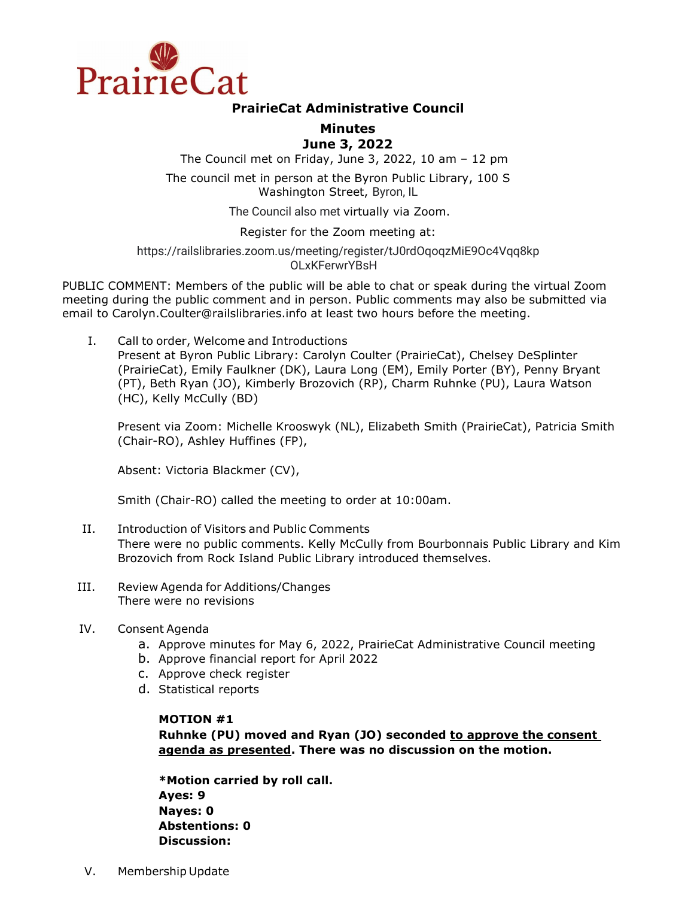

# **PrairieCat Administrative Council**

# **Minutes June 3, 2022**

The Council met on Friday, June 3, 2022, 10 am – 12 pm

The council met in person at the Byron Public Library, 100 S Washington Street, Byron, IL

The Council also met virtually via Zoom.

Register for the Zoom meeting at:

[https://railslibraries.zoom.us/meeting/register/tJ0rdOqoqzMiE9Oc4Vqq8kp](https://railslibraries.zoom.us/meeting/register/tJ0rdOqoqzMiE9Oc4Vqq8kpOLxKFerwrYBsH) [OLxKFerwrYBsH](https://railslibraries.zoom.us/meeting/register/tJ0rdOqoqzMiE9Oc4Vqq8kpOLxKFerwrYBsH) 

PUBLIC COMMENT: Members of the public will be able to chat or speak during the virtual Zoom meeting during the public comment and in person. Public comments may also be submitted via email to Carolyn.Coulter@railslibraries.info at least two hours before the meeting.

I. Call to order, Welcome and Introductions

Present at Byron Public Library: Carolyn Coulter (PrairieCat), Chelsey DeSplinter (PrairieCat), Emily Faulkner (DK), Laura Long (EM), Emily Porter (BY), Penny Bryant (PT), Beth Ryan (JO), Kimberly Brozovich (RP), Charm Ruhnke (PU), Laura Watson (HC), Kelly McCully (BD)

Present via Zoom: Michelle Krooswyk (NL), Elizabeth Smith (PrairieCat), Patricia Smith (Chair-RO), Ashley Huffines (FP),

Absent: Victoria Blackmer (CV),

Smith (Chair-RO) called the meeting to order at 10:00am.

- II. Introduction of Visitors and Public Comments There were no public comments. Kelly McCully from Bourbonnais Public Library and Kim Brozovich from Rock Island Public Library introduced themselves.
- III. Review Agenda for Additions/Changes There were no revisions
- IV. Consent Agenda
	- a. Approve minutes for May 6, 2022, PrairieCat Administrative Council meeting
	- b. Approve financial report for April 2022
	- c. Approve check register
	- d. Statistical reports

### **MOTION #1**

**Ruhnke (PU) moved and Ryan (JO) seconded to approve the consent agenda as presented. There was no discussion on the motion.** 

**\*Motion carried by roll call. Ayes: 9 Nayes: 0 Abstentions: 0 Discussion:**

V. Membership Update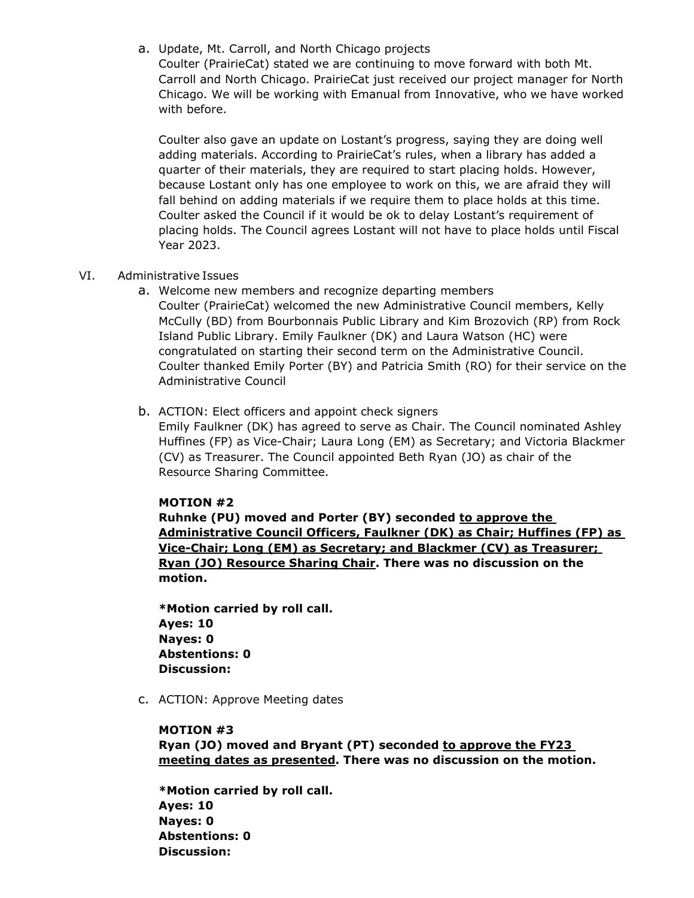a. Update, Mt. Carroll, and North Chicago projects

Coulter (PrairieCat) stated we are continuing to move forward with both Mt. Carroll and North Chicago. PrairieCat just received our project manager for North Chicago. We will be working with Emanual from Innovative, who we have worked with before.

Coulter also gave an update on Lostant's progress, saying they are doing well adding materials. According to PrairieCat's rules, when a library has added a quarter of their materials, they are required to start placing holds. However, because Lostant only has one employee to work on this, we are afraid they will fall behind on adding materials if we require them to place holds at this time. Coulter asked the Council if it would be ok to delay Lostant's requirement of placing holds. The Council agrees Lostant will not have to place holds until Fiscal Year 2023.

### VI. Administrative Issues

- a. Welcome new members and recognize departing members Coulter (PrairieCat) welcomed the new Administrative Council members, Kelly McCully (BD) from Bourbonnais Public Library and Kim Brozovich (RP) from Rock Island Public Library. Emily Faulkner (DK) and Laura Watson (HC) were congratulated on starting their second term on the Administrative Council. Coulter thanked Emily Porter (BY) and Patricia Smith (RO) for their service on the Administrative Council
- b. ACTION: Elect officers and appoint check signers Emily Faulkner (DK) has agreed to serve as Chair. The Council nominated Ashley Huffines (FP) as Vice-Chair; Laura Long (EM) as Secretary; and Victoria Blackmer (CV) as Treasurer. The Council appointed Beth Ryan (JO) as chair of the Resource Sharing Committee.

#### **MOTION #2**

**Ruhnke (PU) moved and Porter (BY) seconded to approve the Administrative Council Officers, Faulkner (DK) as Chair; Huffines (FP) as Vice-Chair; Long (EM) as Secretary; and Blackmer (CV) as Treasurer; Ryan (JO) Resource Sharing Chair. There was no discussion on the motion.** 

**\*Motion carried by roll call. Ayes: 10 Nayes: 0 Abstentions: 0 Discussion:**

c. ACTION: Approve Meeting dates

#### **MOTION #3**

**Ryan (JO) moved and Bryant (PT) seconded to approve the FY23 meeting dates as presented. There was no discussion on the motion.** 

**\*Motion carried by roll call. Ayes: 10 Nayes: 0 Abstentions: 0 Discussion:**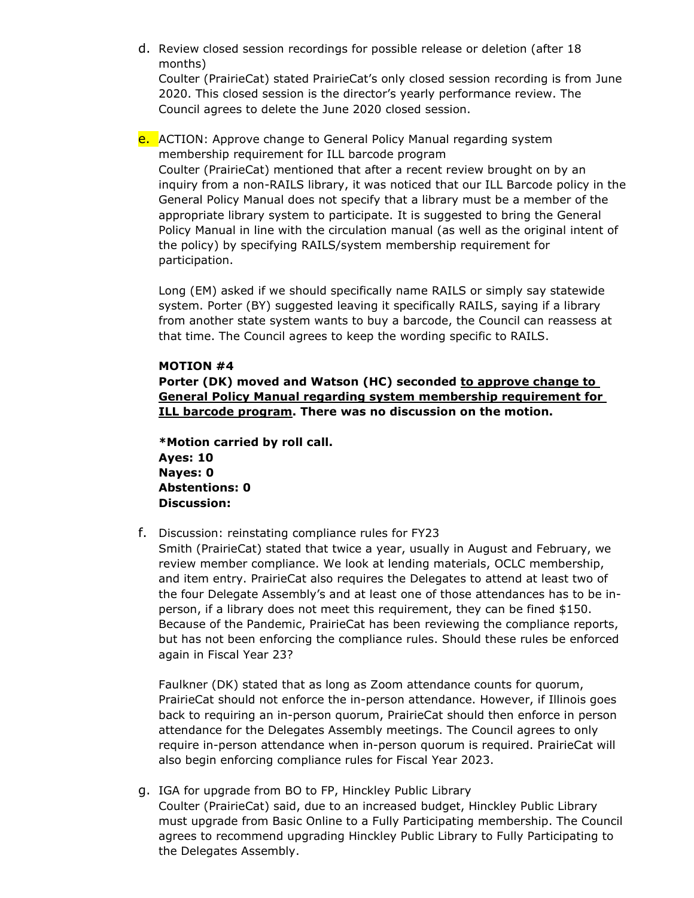d. Review closed session recordings for possible release or deletion (after 18 months)

Coulter (PrairieCat) stated PrairieCat's only closed session recording is from June 2020. This closed session is the director's yearly performance review. The Council agrees to delete the June 2020 closed session.

**e.** ACTION: Approve change to General Policy Manual regarding system membership requirement for ILL barcode program

Coulter (PrairieCat) mentioned that after a recent review brought on by an inquiry from a non-RAILS library, it was noticed that our ILL Barcode policy in the General Policy Manual does not specify that a library must be a member of the appropriate library system to participate. It is suggested to bring the General Policy Manual in line with the circulation manual (as well as the original intent of the policy) by specifying RAILS/system membership requirement for participation.

Long (EM) asked if we should specifically name RAILS or simply say statewide system. Porter (BY) suggested leaving it specifically RAILS, saying if a library from another state system wants to buy a barcode, the Council can reassess at that time. The Council agrees to keep the wording specific to RAILS.

### **MOTION #4**

**Porter (DK) moved and Watson (HC) seconded to approve change to General Policy Manual regarding system membership requirement for ILL barcode program. There was no discussion on the motion.** 

**\*Motion carried by roll call. Ayes: 10 Nayes: 0 Abstentions: 0 Discussion:**

f. Discussion: reinstating compliance rules for FY23

Smith (PrairieCat) stated that twice a year, usually in August and February, we review member compliance. We look at lending materials, OCLC membership, and item entry. PrairieCat also requires the Delegates to attend at least two of the four Delegate Assembly's and at least one of those attendances has to be inperson, if a library does not meet this requirement, they can be fined \$150. Because of the Pandemic, PrairieCat has been reviewing the compliance reports, but has not been enforcing the compliance rules. Should these rules be enforced again in Fiscal Year 23?

Faulkner (DK) stated that as long as Zoom attendance counts for quorum, PrairieCat should not enforce the in-person attendance. However, if Illinois goes back to requiring an in-person quorum, PrairieCat should then enforce in person attendance for the Delegates Assembly meetings. The Council agrees to only require in-person attendance when in-person quorum is required. PrairieCat will also begin enforcing compliance rules for Fiscal Year 2023.

g. IGA for upgrade from BO to FP, Hinckley Public Library Coulter (PrairieCat) said, due to an increased budget, Hinckley Public Library must upgrade from Basic Online to a Fully Participating membership. The Council agrees to recommend upgrading Hinckley Public Library to Fully Participating to the Delegates Assembly.